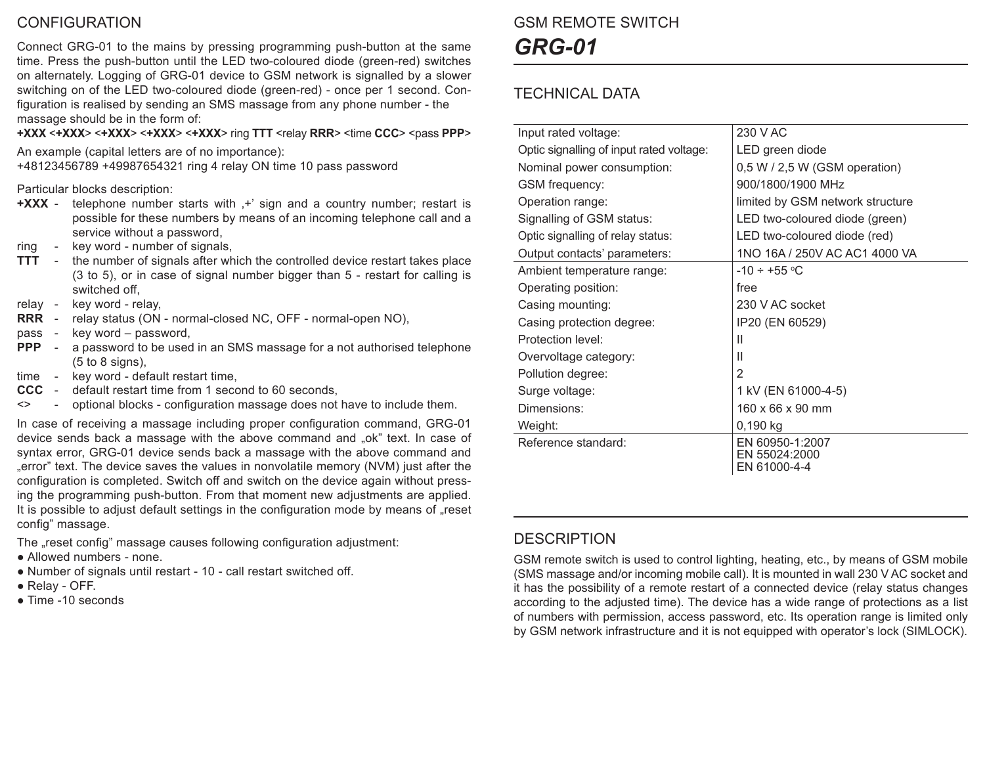### **CONFIGURATION**

Connect GRG-01 to the mains by pressing programming push-button at the same time. Press the push-button until the LED two-coloured diode (green-red) switches on alternately. Logging of GRG-01 device to GSM network is signalled by a slower switching on of the LED two-coloured diode (green-red) - once per 1 second. Configuration is realised by sending an SMS massage from any phone number - the massage should be in the form of:

**+XXX** <**+XXX**> <**+XXX**> <**+XXX**> <**+XXX**> ring **TTT** <relay **RRR**> <time **CCC**> <pass **PPP**>

An example (capital letters are of no importance): +48123456789 +49987654321 ring 4 relay ON time 10 pass password

#### Particular blocks description:

- **+XXX** telephone number starts with  $+$ ' sign and a country number; restart is possible for these numbers by means of an incoming telephone call and a service without a password,
- ring key word number of signals,
- **TTT** the number of signals after which the controlled device restart takes place (3 to 5), or in case of signal number bigger than 5 - restart for calling is switched off,
- relay key word relay,
- **RRR** relay status (ON normal-closed NC, OFF normal-open NO),
- pass key word password,
- **PPP** a password to be used in an SMS massage for a not authorised telephone  $(5 \text{ to } 8 \text{ sions}).$
- time key word default restart time,
- **CCC** default restart time from 1 second to 60 seconds,
- <> optional blocks configuration massage does not have to include them.

In case of receiving a massage including proper configuration command, GRG-01 device sends back a massage with the above command and "ok" text. In case of syntax error, GRG-01 device sends back a massage with the above command and "error" text. The device saves the values in nonvolatile memory (NVM) just after the configuration is completed. Switch off and switch on the device again without pressing the programming push-button. From that moment new adjustments are applied. It is possible to adjust default settings in the configuration mode by means of "reset config" massage.

The ..reset config" massage causes following configuration adjustment:

- Allowed numbers none.
- Number of signals until restart 10 call restart switched off.
- Relay OFF.
- Time -10 seconds

# GSM REMOTE SWITCH *GRG-01*

### TECHNICAL DATA

| Input rated voltage:                     | 230 V AC                                         |
|------------------------------------------|--------------------------------------------------|
| Optic signalling of input rated voltage: | LED green diode                                  |
| Nominal power consumption:               | $0.5 W / 2.5 W$ (GSM operation)                  |
| <b>GSM</b> frequency:                    | 900/1800/1900 MHz                                |
| Operation range:                         | limited by GSM network structure                 |
| Signalling of GSM status:                | LED two-coloured diode (green)                   |
| Optic signalling of relay status:        | LED two-coloured diode (red)                     |
| Output contacts' parameters:             | 1NO 16A / 250V AC AC1 4000 VA                    |
| Ambient temperature range:               | $-10 \div +55$ °C                                |
| Operating position:                      | free                                             |
| Casing mounting:                         | 230 V AC socket                                  |
| Casing protection degree:                | IP20 (EN 60529)                                  |
| Protection level:                        | $\mathbf{H}$                                     |
| Overvoltage category:                    | Ш                                                |
| Pollution degree:                        | $\mathcal{P}$                                    |
| Surge voltage:                           | 1 kV (EN 61000-4-5)                              |
| Dimensions:                              | 160 x 66 x 90 mm                                 |
| Weight:                                  | 0,190 kg                                         |
| Reference standard:                      | EN 60950-1:2007<br>EN 55024:2000<br>EN 61000-4-4 |

#### **DESCRIPTION**

GSM remote switch is used to control lighting, heating, etc., by means of GSM mobile (SMS massage and/or incoming mobile call). It is mounted in wall 230 V AC socket and it has the possibility of a remote restart of a connected device (relay status changes according to the adjusted time). The device has a wide range of protections as a list of numbers with permission, access password, etc. Its operation range is limited only by GSM network infrastructure and it is not equipped with operator's lock (SIMLOCK).